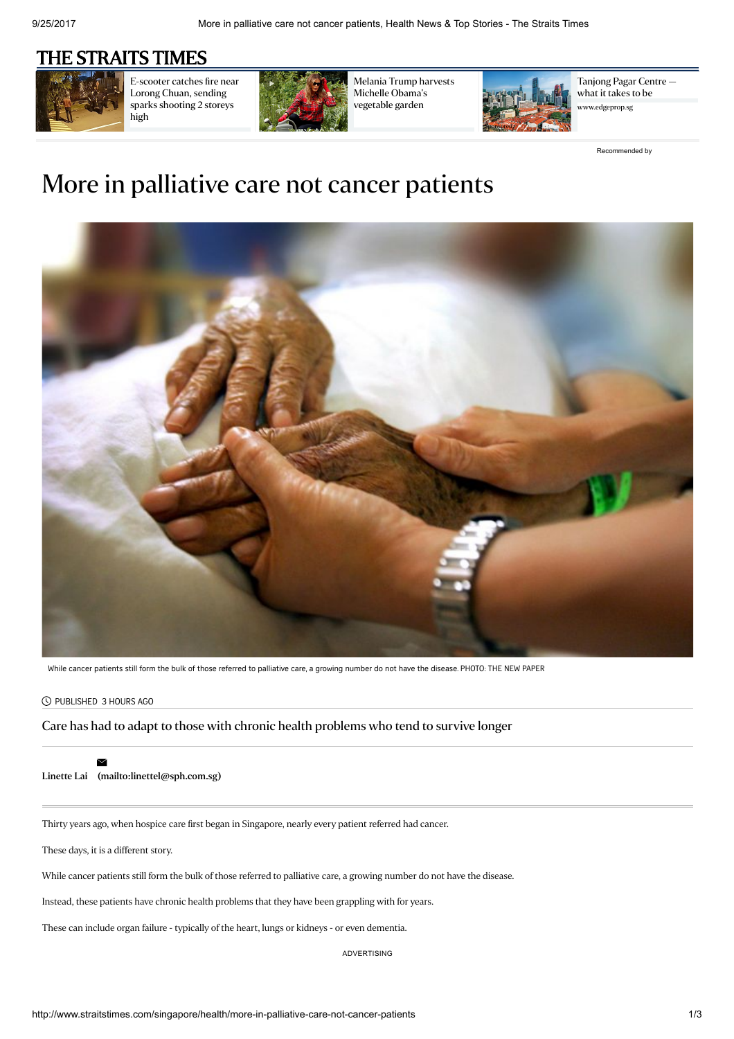## [THE STRAITS TIMES](http://www.straitstimes.com/)



[E-scooter](http://www.straitstimes.com/singapore/e-scooter-catches-fire-near-lorong-chuan-sending-sparks-shooting-2-storeys-high) catches fire near Lorong Chuan, sending sparks shooting 2 storeys high



Melania Trump harvests Michelle Obama's [vegetable](http://www.straitstimes.com/world/united-states/melania-trump-harvests-michelle-obamas-vegetable-garden) garden



[Tanjong](https://www.edgeprop.sg/content/tanjong-pagar-centre-%E2%80%94-what-it-takes-be-singapore%E2%80%99s-tallest-skyscraper?utm_source=Outbrain&utm_medium=article&utm_campaign=useracq) Pagar Centre what it takes to be lgeprop.sg

[Recommended](http://www.outbrain.com/what-is/default/en) by

## More in palliative care not cancer patients



While cancer patients still form the bulk of those referred to palliative care, a growing number do not have the disease. PHOTO: THE NEW PAPER

## PUBLISHED 3 HOURS AGO

Care has had to adapt to those with chronic health problems who tend to survive longer

 $\geq$ 

[Linette](http://www.straitstimes.com/authors/linette-lai) Lai [\(mailto:linettel@sph.com.sg\)](mailto:linettel@sph.com.sg)

Thirty years ago, when hospice care first began in Singapore, nearly every patient referred had cancer.

These days, it is a different story.

While cancer patients still form the bulk of those referred to palliative care, a growing number do not have the disease.

Instead, these patients have chronic health problems that they have been grappling with for years.

These can include organ failure - typically of the heart, lungs or kidneys - or even dementia.

ADVERTISING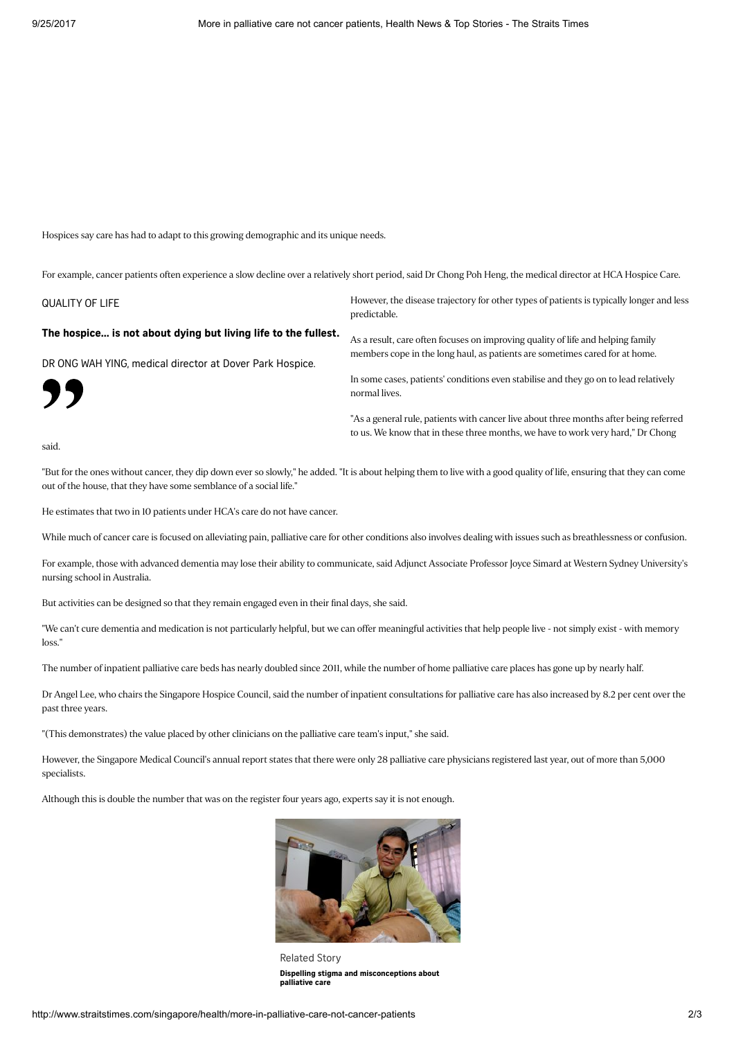Hospices say care has had to adapt to this growing demographic and its unique needs.

For example, cancer patients often experience a slow decline over a relatively short period, said Dr Chong Poh Heng, the medical director at HCA Hospice Care.

QUALITY OF LIFE

The hospice... is not about dying but living life to the fullest.

DR ONG WAH YING, medical director at Dover Park Hospice.

"

However, the disease trajectory for other types of patients is typically longer and less predictable.

As a result, care often focuses on improving quality of life and helping family members cope in the long haul, as patients are sometimes cared for at home.

In some cases, patients' conditions even stabilise and they go on to lead relatively normal lives.

"As a general rule, patients with cancer live about three months after being referred to us. We know that in these three months, we have to work very hard," Dr Chong

said.

"But for the ones without cancer, they dip down ever so slowly," he added. "It is about helping them to live with a good quality of life, ensuring that they can come out of the house, that they have some semblance of a social life."

He estimates that two in 10 patients under HCA's care do not have cancer.

While much of cancer care is focused on alleviating pain, palliative care for other conditions also involves dealing with issues such as breathlessness or confusion.

For example, those with advanced dementia may lose their ability to communicate, said Adjunct Associate Professor Joyce Simard at Western Sydney University's nursing school in Australia.

But activities can be designed so that they remain engaged even in their final days, she said.

"We can't cure dementia and medication is not particularly helpful, but we can offer meaningful activities that help people live - not simply exist - with memory loss."

The number of inpatient palliative care beds has nearly doubled since 2011, while the number of home palliative care places has gone up by nearly half.

Dr Angel Lee, who chairs the Singapore Hospice Council, said the number of inpatient consultations for palliative care has also increased by 8.2 per cent over the past three years.

"(This demonstrates) the value placed by other clinicians on the palliative care team's input," she said.

However, the Singapore Medical Council's annual report states that there were only 28 palliative care physicians registered last year, out of more than 5,000 specialists.

Although this is double the number that was on the register four years ago, experts say it is not enough.



Related Story Dispelling stigma and [misconceptions](http://www.straitstimes.com/singapore/health/dispelling-stigma-and-misconceptions) about palliative care